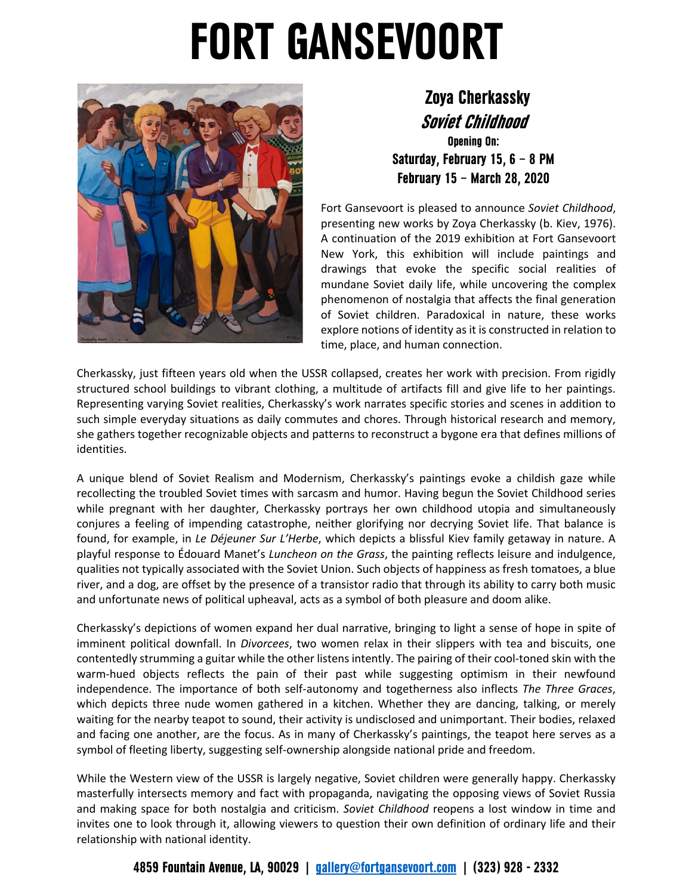## **FORT GANSEVOORT**



 **Zoya Cherkassky Soviet Childhood Opening On:**

**Saturday, February 15, 6 – 8 PM February 15 – March 28, 2020**

Fort Gansevoort is pleased to announce *Soviet Childhood*, presenting new works by Zoya Cherkassky (b. Kiev, 1976). A continuation of the 2019 exhibition at Fort Gansevoort New York, this exhibition will include paintings and drawings that evoke the specific social realities of mundane Soviet daily life, while uncovering the complex phenomenon of nostalgia that affects the final generation of Soviet children. Paradoxical in nature, these works explore notions of identity as it is constructed in relation to time, place, and human connection.

Cherkassky, just fifteen years old when the USSR collapsed, creates her work with precision. From rigidly structured school buildings to vibrant clothing, a multitude of artifacts fill and give life to her paintings. Representing varying Soviet realities, Cherkassky's work narrates specific stories and scenes in addition to such simple everyday situations as daily commutes and chores. Through historical research and memory, she gathers together recognizable objects and patterns to reconstruct a bygone era that defines millions of identities.

A unique blend of Soviet Realism and Modernism, Cherkassky's paintings evoke a childish gaze while recollecting the troubled Soviet times with sarcasm and humor. Having begun the Soviet Childhood series while pregnant with her daughter, Cherkassky portrays her own childhood utopia and simultaneously conjures a feeling of impending catastrophe, neither glorifying nor decrying Soviet life. That balance is found, for example, in *Le Déjeuner Sur L'Herbe*, which depicts a blissful Kiev family getaway in nature. A playful response to Édouard Manet's *Luncheon on the Grass*, the painting reflects leisure and indulgence, qualities not typically associated with the Soviet Union. Such objects of happiness as fresh tomatoes, a blue river, and a dog, are offset by the presence of a transistor radio that through its ability to carry both music and unfortunate news of political upheaval, acts as a symbol of both pleasure and doom alike.

Cherkassky's depictions of women expand her dual narrative, bringing to light a sense of hope in spite of imminent political downfall. In *Divorcees*, two women relax in their slippers with tea and biscuits, one contentedly strumming a guitar while the other listens intently. The pairing of their cool-toned skin with the warm-hued objects reflects the pain of their past while suggesting optimism in their newfound independence. The importance of both self-autonomy and togetherness also inflects *The Three Graces*, which depicts three nude women gathered in a kitchen. Whether they are dancing, talking, or merely waiting for the nearby teapot to sound, their activity is undisclosed and unimportant. Their bodies, relaxed and facing one another, are the focus. As in many of Cherkassky's paintings, the teapot here serves as a symbol of fleeting liberty, suggesting self-ownership alongside national pride and freedom.

While the Western view of the USSR is largely negative, Soviet children were generally happy. Cherkassky masterfully intersects memory and fact with propaganda, navigating the opposing views of Soviet Russia and making space for both nostalgia and criticism. *Soviet Childhood* reopens a lost window in time and invites one to look through it, allowing viewers to question their own definition of ordinary life and their relationship with national identity.